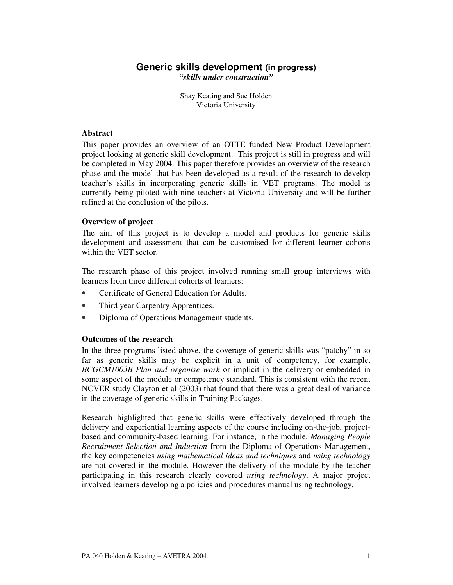# **Generic skills development (in progress)** *"skills under construction"*

Shay Keating and Sue Holden Victoria University

### **Abstract**

This paper provides an overview of an OTTE funded New Product Development project looking at generic skill development. This project is still in progress and will be completed in May 2004. This paper therefore provides an overview of the research phase and the model that has been developed as a result of the research to develop teacher's skills in incorporating generic skills in VET programs. The model is currently being piloted with nine teachers at Victoria University and will be further refined at the conclusion of the pilots.

## **Overview of project**

The aim of this project is to develop a model and products for generic skills development and assessment that can be customised for different learner cohorts within the VET sector.

The research phase of this project involved running small group interviews with learners from three different cohorts of learners:

- Certificate of General Education for Adults.
- Third year Carpentry Apprentices.
- Diploma of Operations Management students.

### **Outcomes of the research**

In the three programs listed above, the coverage of generic skills was "patchy" in so far as generic skills may be explicit in a unit of competency, for example, *BCGCM1003B Plan and organise work* or implicit in the delivery or embedded in some aspect of the module or competency standard. This is consistent with the recent NCVER study Clayton et al (2003) that found that there was a great deal of variance in the coverage of generic skills in Training Packages.

Research highlighted that generic skills were effectively developed through the delivery and experiential learning aspects of the course including on-the-job, projectbased and community-based learning. For instance, in the module, *Managing People Recruitment Selection and Induction* from the Diploma of Operations Management, the key competencies *using mathematical ideas and techniques* and *using technology* are not covered in the module. However the delivery of the module by the teacher participating in this research clearly covered *using technology*. A major project involved learners developing a policies and procedures manual using technology.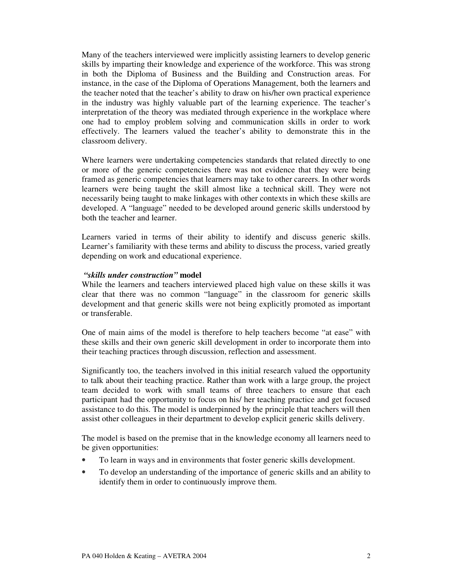Many of the teachers interviewed were implicitly assisting learners to develop generic skills by imparting their knowledge and experience of the workforce. This was strong in both the Diploma of Business and the Building and Construction areas. For instance, in the case of the Diploma of Operations Management, both the learners and the teacher noted that the teacher's ability to draw on his/her own practical experience in the industry was highly valuable part of the learning experience. The teacher's interpretation of the theory was mediated through experience in the workplace where one had to employ problem solving and communication skills in order to work effectively. The learners valued the teacher's ability to demonstrate this in the classroom delivery.

Where learners were undertaking competencies standards that related directly to one or more of the generic competencies there was not evidence that they were being framed as generic competencies that learners may take to other careers. In other words learners were being taught the skill almost like a technical skill. They were not necessarily being taught to make linkages with other contexts in which these skills are developed. A "language" needed to be developed around generic skills understood by both the teacher and learner.

Learners varied in terms of their ability to identify and discuss generic skills. Learner's familiarity with these terms and ability to discuss the process, varied greatly depending on work and educational experience.

### *"skills under construction"* **model**

While the learners and teachers interviewed placed high value on these skills it was clear that there was no common "language" in the classroom for generic skills development and that generic skills were not being explicitly promoted as important or transferable.

One of main aims of the model is therefore to help teachers become "at ease" with these skills and their own generic skill development in order to incorporate them into their teaching practices through discussion, reflection and assessment.

Significantly too, the teachers involved in this initial research valued the opportunity to talk about their teaching practice. Rather than work with a large group, the project team decided to work with small teams of three teachers to ensure that each participant had the opportunity to focus on his/ her teaching practice and get focused assistance to do this. The model is underpinned by the principle that teachers will then assist other colleagues in their department to develop explicit generic skills delivery.

The model is based on the premise that in the knowledge economy all learners need to be given opportunities:

- To learn in ways and in environments that foster generic skills development.
- To develop an understanding of the importance of generic skills and an ability to identify them in order to continuously improve them.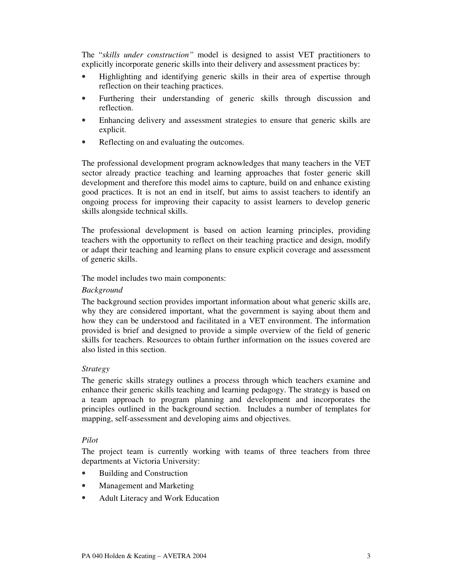The "*skills under construction"* model is designed to assist VET practitioners to explicitly incorporate generic skills into their delivery and assessment practices by:

- Highlighting and identifying generic skills in their area of expertise through reflection on their teaching practices.
- Furthering their understanding of generic skills through discussion and reflection.
- Enhancing delivery and assessment strategies to ensure that generic skills are explicit.
- Reflecting on and evaluating the outcomes.

The professional development program acknowledges that many teachers in the VET sector already practice teaching and learning approaches that foster generic skill development and therefore this model aims to capture, build on and enhance existing good practices. It is not an end in itself, but aims to assist teachers to identify an ongoing process for improving their capacity to assist learners to develop generic skills alongside technical skills.

The professional development is based on action learning principles, providing teachers with the opportunity to reflect on their teaching practice and design, modify or adapt their teaching and learning plans to ensure explicit coverage and assessment of generic skills.

The model includes two main components:

#### *Background*

The background section provides important information about what generic skills are, why they are considered important, what the government is saying about them and how they can be understood and facilitated in a VET environment. The information provided is brief and designed to provide a simple overview of the field of generic skills for teachers. Resources to obtain further information on the issues covered are also listed in this section.

#### *Strategy*

The generic skills strategy outlines a process through which teachers examine and enhance their generic skills teaching and learning pedagogy. The strategy is based on a team approach to program planning and development and incorporates the principles outlined in the background section. Includes a number of templates for mapping, self-assessment and developing aims and objectives.

#### *Pilot*

The project team is currently working with teams of three teachers from three departments at Victoria University:

- Building and Construction
- Management and Marketing
- Adult Literacy and Work Education